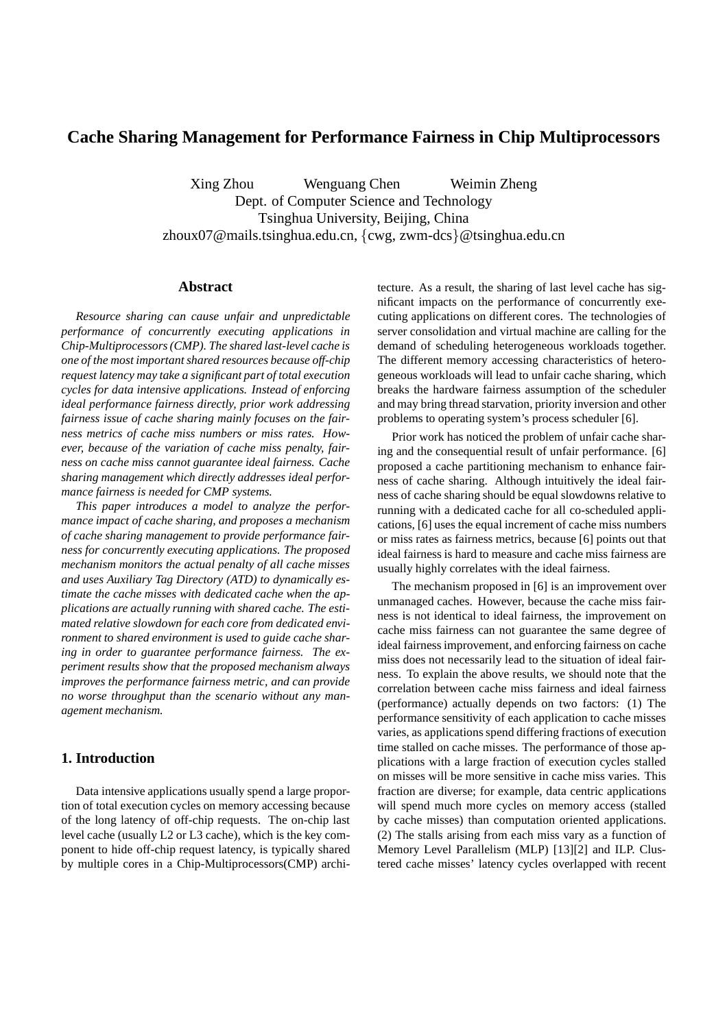# **Cache Sharing Management for Performance Fairness in Chip Multiprocessors**

Xing Zhou Wenguang Chen Weimin Zheng Dept. of Computer Science and Technology Tsinghua University, Beijing, China zhoux07@mails.tsinghua.edu.cn, {cwg, zwm-dcs}@tsinghua.edu.cn

## **Abstract**

*Resource sharing can cause unfair and unpredictable performance of concurrently executing applications in Chip-Multiprocessors (CMP). The shared last-level cache is one of the most important shared resources because off-chip request latency may take a significant part of total execution cycles for data intensive applications. Instead of enforcing ideal performance fairness directly, prior work addressing fairness issue of cache sharing mainly focuses on the fairness metrics of cache miss numbers or miss rates. However, because of the variation of cache miss penalty, fairness on cache miss cannot guarantee ideal fairness. Cache sharing management which directly addresses ideal performance fairness is needed for CMP systems.*

*This paper introduces a model to analyze the performance impact of cache sharing, and proposes a mechanism of cache sharing management to provide performance fairness for concurrently executing applications. The proposed mechanism monitors the actual penalty of all cache misses and uses Auxiliary Tag Directory (ATD) to dynamically estimate the cache misses with dedicated cache when the applications are actually running with shared cache. The estimated relative slowdown for each core from dedicated environment to shared environment is used to guide cache sharing in order to guarantee performance fairness. The experiment results show that the proposed mechanism always improves the performance fairness metric, and can provide no worse throughput than the scenario without any management mechanism.*

## **1. Introduction**

Data intensive applications usually spend a large proportion of total execution cycles on memory accessing because of the long latency of off-chip requests. The on-chip last level cache (usually L2 or L3 cache), which is the key component to hide off-chip request latency, is typically shared by multiple cores in a Chip-Multiprocessors(CMP) architecture. As a result, the sharing of last level cache has significant impacts on the performance of concurrently executing applications on different cores. The technologies of server consolidation and virtual machine are calling for the demand of scheduling heterogeneous workloads together. The different memory accessing characteristics of heterogeneous workloads will lead to unfair cache sharing, which breaks the hardware fairness assumption of the scheduler and may bring thread starvation, priority inversion and other problems to operating system's process scheduler [6].

Prior work has noticed the problem of unfair cache sharing and the consequential result of unfair performance. [6] proposed a cache partitioning mechanism to enhance fairness of cache sharing. Although intuitively the ideal fairness of cache sharing should be equal slowdowns relative to running with a dedicated cache for all co-scheduled applications, [6] uses the equal increment of cache miss numbers or miss rates as fairness metrics, because [6] points out that ideal fairness is hard to measure and cache miss fairness are usually highly correlates with the ideal fairness.

The mechanism proposed in [6] is an improvement over unmanaged caches. However, because the cache miss fairness is not identical to ideal fairness, the improvement on cache miss fairness can not guarantee the same degree of ideal fairness improvement, and enforcing fairness on cache miss does not necessarily lead to the situation of ideal fairness. To explain the above results, we should note that the correlation between cache miss fairness and ideal fairness (performance) actually depends on two factors: (1) The performance sensitivity of each application to cache misses varies, as applications spend differing fractions of execution time stalled on cache misses. The performance of those applications with a large fraction of execution cycles stalled on misses will be more sensitive in cache miss varies. This fraction are diverse; for example, data centric applications will spend much more cycles on memory access (stalled by cache misses) than computation oriented applications. (2) The stalls arising from each miss vary as a function of Memory Level Parallelism (MLP) [13][2] and ILP. Clustered cache misses' latency cycles overlapped with recent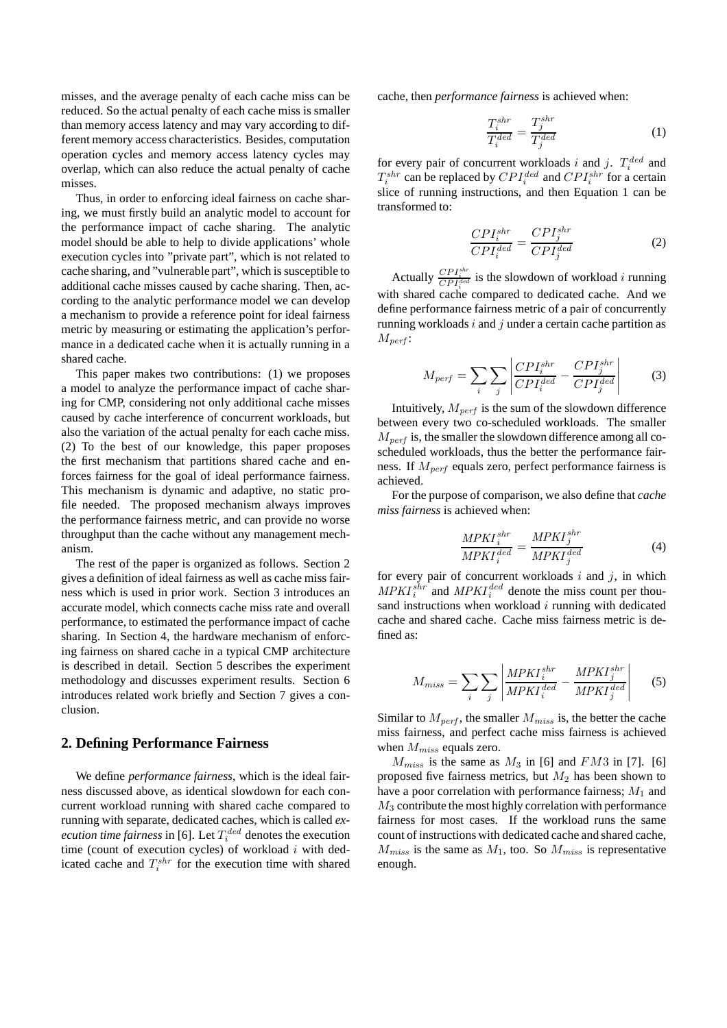misses, and the average penalty of each cache miss can be reduced. So the actual penalty of each cache miss is smaller than memory access latency and may vary according to different memory access characteristics. Besides, computation operation cycles and memory access latency cycles may overlap, which can also reduce the actual penalty of cache misses.

Thus, in order to enforcing ideal fairness on cache sharing, we must firstly build an analytic model to account for the performance impact of cache sharing. The analytic model should be able to help to divide applications' whole execution cycles into "private part", which is not related to cache sharing, and "vulnerable part", which is susceptible to additional cache misses caused by cache sharing. Then, according to the analytic performance model we can develop a mechanism to provide a reference point for ideal fairness metric by measuring or estimating the application's performance in a dedicated cache when it is actually running in a shared cache.

This paper makes two contributions: (1) we proposes a model to analyze the performance impact of cache sharing for CMP, considering not only additional cache misses caused by cache interference of concurrent workloads, but also the variation of the actual penalty for each cache miss. (2) To the best of our knowledge, this paper proposes the first mechanism that partitions shared cache and enforces fairness for the goal of ideal performance fairness. This mechanism is dynamic and adaptive, no static profile needed. The proposed mechanism always improves the performance fairness metric, and can provide no worse throughput than the cache without any management mechanism.

The rest of the paper is organized as follows. Section 2 gives a definition of ideal fairness as well as cache miss fairness which is used in prior work. Section 3 introduces an accurate model, which connects cache miss rate and overall performance, to estimated the performance impact of cache sharing. In Section 4, the hardware mechanism of enforcing fairness on shared cache in a typical CMP architecture is described in detail. Section 5 describes the experiment methodology and discusses experiment results. Section 6 introduces related work briefly and Section 7 gives a conclusion.

#### **2. Defining Performance Fairness**

We define *performance fairness*, which is the ideal fairness discussed above, as identical slowdown for each concurrent workload running with shared cache compared to running with separate, dedicated caches, which is called *execution time fairness* in [6]. Let  $T_i^{ded}$  denotes the execution time (count of execution cycles) of workload  $i$  with dedicated cache and  $T_i^{shr}$  for the execution time with shared

cache, then *performance fairness* is achieved when:

$$
\frac{T_i^{shr}}{T_i^{ded}} = \frac{T_j^{shr}}{T_j^{ded}} \tag{1}
$$

for every pair of concurrent workloads i and j.  $T_i^{ded}$  and  $T_i^{shr}$  can be replaced by  $CPI_i^{ded}$  and  $CPI_i^{shr}$  for a certain slice of running instructions, and then Equation 1 can be transformed to:

$$
\frac{CPI_i^{shr}}{CPI_i^{ded}} = \frac{CPI_j^{shr}}{CPI_j^{ded}}
$$
 (2)

Actually  $\frac{CPI_i^{shr}}{CPI_i^{ded}}$  is the slowdown of workload *i* running with shared cache compared to dedicated cache. And we define performance fairness metric of a pair of concurrently running workloads  $i$  and  $j$  under a certain cache partition as  $M_{perf}$ :

$$
M_{perf} = \sum_{i} \sum_{j} \left| \frac{CPI_i^{shr}}{CPI_i^{ded}} - \frac{CPI_j^{shr}}{CPI_j^{ded}} \right| \tag{3}
$$

Intuitively,  $M_{\text{perf}}$  is the sum of the slowdown difference between every two co-scheduled workloads. The smaller  $M_{\text{perf}}$  is, the smaller the slowdown difference among all coscheduled workloads, thus the better the performance fairness. If  $M_{perf}$  equals zero, perfect performance fairness is achieved.

For the purpose of comparison, we also define that *cache miss fairness* is achieved when:

$$
\frac{MPKI_i^{shr}}{MPKI_i^{ded}} = \frac{MPKI_j^{shr}}{MPKI_j^{ded}}
$$
(4)

for every pair of concurrent workloads  $i$  and  $j$ , in which  $MPKI_i^{shr}$  and  $MPKI_i^{ded}$  denote the miss count per thousand instructions when workload  $i$  running with dedicated cache and shared cache. Cache miss fairness metric is defined as:

$$
M_{miss} = \sum_{i} \sum_{j} \left| \frac{MPKI_i^{shr}}{MPKI_i^{ded}} - \frac{MPKI_j^{shr}}{MPKI_j^{ded}} \right| \qquad (5)
$$

Similar to  $M_{\text{perf}}$ , the smaller  $M_{\text{miss}}$  is, the better the cache miss fairness, and perfect cache miss fairness is achieved when  $M_{miss}$  equals zero.

 $M_{miss}$  is the same as  $M_3$  in [6] and  $FM3$  in [7]. [6] proposed five fairness metrics, but  $M_2$  has been shown to have a poor correlation with performance fairness;  $M_1$  and  $M<sub>3</sub>$  contribute the most highly correlation with performance fairness for most cases. If the workload runs the same count of instructions with dedicated cache and shared cache,  $M_{miss}$  is the same as  $M_1$ , too. So  $M_{miss}$  is representative enough.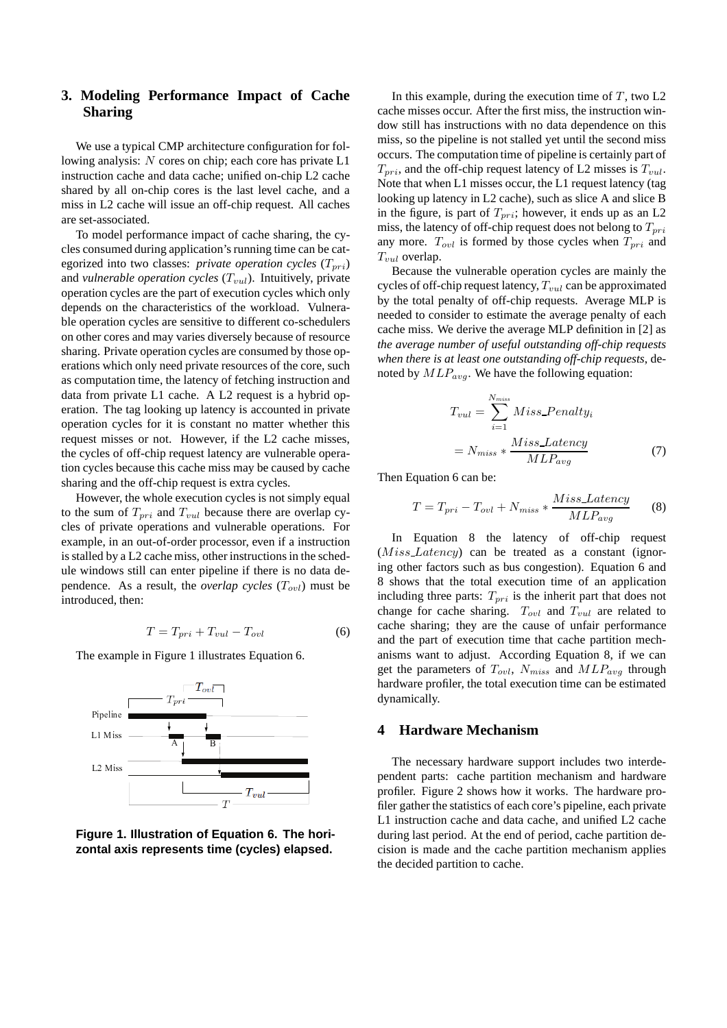# **3. Modeling Performance Impact of Cache Sharing**

We use a typical CMP architecture configuration for following analysis: N cores on chip; each core has private L1 instruction cache and data cache; unified on-chip L2 cache shared by all on-chip cores is the last level cache, and a miss in L2 cache will issue an off-chip request. All caches are set-associated.

To model performance impact of cache sharing, the cycles consumed during application's running time can be categorized into two classes: *private operation cycles*  $(T_{pri})$ and *vulnerable operation cycles*  $(T_{vul})$ . Intuitively, private operation cycles are the part of execution cycles which only depends on the characteristics of the workload. Vulnerable operation cycles are sensitive to different co-schedulers on other cores and may varies diversely because of resource sharing. Private operation cycles are consumed by those operations which only need private resources of the core, such as computation time, the latency of fetching instruction and data from private L1 cache. A L2 request is a hybrid operation. The tag looking up latency is accounted in private operation cycles for it is constant no matter whether this request misses or not. However, if the L2 cache misses, the cycles of off-chip request latency are vulnerable operation cycles because this cache miss may be caused by cache sharing and the off-chip request is extra cycles.

However, the whole execution cycles is not simply equal to the sum of  $T_{pri}$  and  $T_{vul}$  because there are overlap cycles of private operations and vulnerable operations. For example, in an out-of-order processor, even if a instruction is stalled by a L2 cache miss, other instructions in the schedule windows still can enter pipeline if there is no data dependence. As a result, the *overlap cycles*  $(T_{\text{out}})$  must be introduced, then:

$$
T = T_{pri} + T_{vul} - T_{ovl}
$$
 (6)

The example in Figure 1 illustrates Equation 6.



**Figure 1. Illustration of Equation 6. The horizontal axis represents time (cycles) elapsed.**

In this example, during the execution time of  $T$ , two L2 cache misses occur. After the first miss, the instruction window still has instructions with no data dependence on this miss, so the pipeline is not stalled yet until the second miss occurs. The computation time of pipeline is certainly part of  $T_{pri}$ , and the off-chip request latency of L2 misses is  $T_{vul}$ . Note that when L1 misses occur, the L1 request latency (tag looking up latency in L2 cache), such as slice A and slice B in the figure, is part of  $T_{pri}$ ; however, it ends up as an L2 miss, the latency of off-chip request does not belong to  $T_{pri}$ any more.  $T_{ovl}$  is formed by those cycles when  $T_{pri}$  and  $T_{vul}$  overlap.

Because the vulnerable operation cycles are mainly the cycles of off-chip request latency,  $T_{vul}$  can be approximated by the total penalty of off-chip requests. Average MLP is needed to consider to estimate the average penalty of each cache miss. We derive the average MLP definition in [2] as *the average number of useful outstanding off-chip requests when there is at least one outstanding off-chip requests*, denoted by  $MLP_{avg}$ . We have the following equation:

$$
T_{vul} = \sum_{i=1}^{N_{miss}} Miss\_Penalty_i
$$

$$
= N_{miss} * \frac{Miss\_Latency}{MLP_{avg}}
$$
(7)

Then Equation 6 can be:

$$
T = T_{pri} - T_{ovl} + N_{miss} * \frac{Miss\_Latency}{MLP_{avg}} \tag{8}
$$

In Equation 8 the latency of off-chip request (Miss Latency) can be treated as a constant (ignoring other factors such as bus congestion). Equation 6 and 8 shows that the total execution time of an application including three parts:  $T_{pri}$  is the inherit part that does not change for cache sharing.  $T_{ovl}$  and  $T_{vul}$  are related to cache sharing; they are the cause of unfair performance and the part of execution time that cache partition mechanisms want to adjust. According Equation 8, if we can get the parameters of  $T_{ovl}$ ,  $N_{miss}$  and  $MLP_{avg}$  through hardware profiler, the total execution time can be estimated dynamically.

## **4 Hardware Mechanism**

The necessary hardware support includes two interdependent parts: cache partition mechanism and hardware profiler. Figure 2 shows how it works. The hardware profiler gather the statistics of each core's pipeline, each private L1 instruction cache and data cache, and unified L2 cache during last period. At the end of period, cache partition decision is made and the cache partition mechanism applies the decided partition to cache.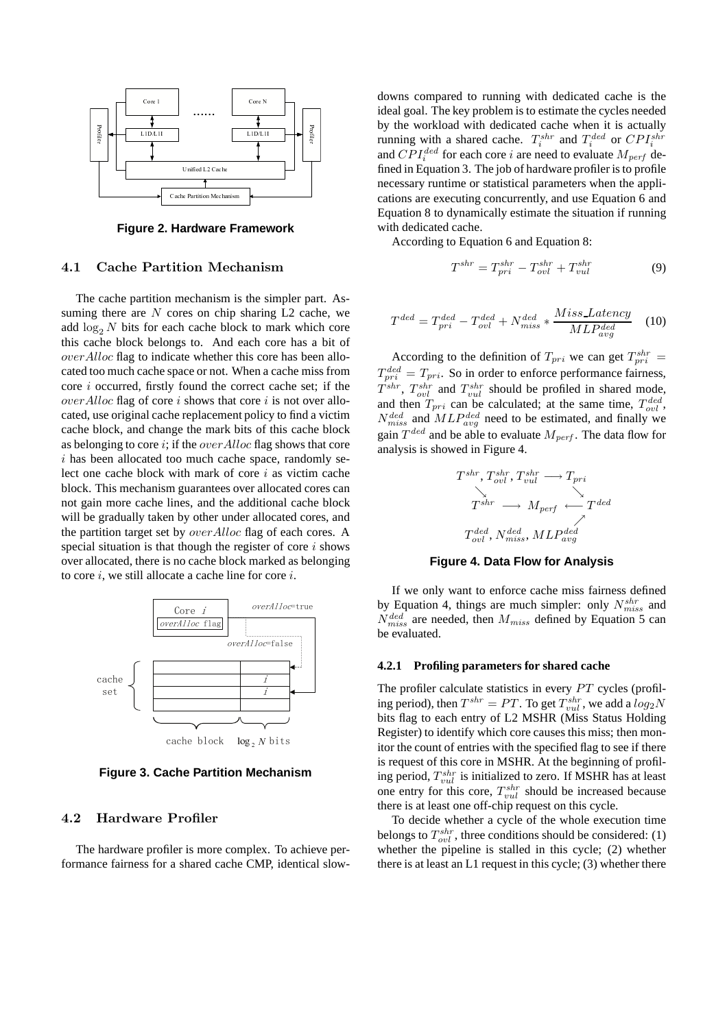

**Figure 2. Hardware Framework**

### 4.1 Cache Partition Mechanism

The cache partition mechanism is the simpler part. Assuming there are  $N$  cores on chip sharing L2 cache, we add  $\log_2 N$  bits for each cache block to mark which core this cache block belongs to. And each core has a bit of overAlloc flag to indicate whether this core has been allocated too much cache space or not. When a cache miss from core i occurred, firstly found the correct cache set; if the *over Alloc* flag of core i shows that core i is not over allocated, use original cache replacement policy to find a victim cache block, and change the mark bits of this cache block as belonging to core i; if the *over Alloc* flag shows that core  $i$  has been allocated too much cache space, randomly select one cache block with mark of core  $i$  as victim cache block. This mechanism guarantees over allocated cores can not gain more cache lines, and the additional cache block will be gradually taken by other under allocated cores, and the partition target set by overAlloc flag of each cores. A special situation is that though the register of core  $i$  shows over allocated, there is no cache block marked as belonging to core  $i$ , we still allocate a cache line for core  $i$ .



**Figure 3. Cache Partition Mechanism**

#### 4.2 Hardware Profiler

The hardware profiler is more complex. To achieve performance fairness for a shared cache CMP, identical slowdowns compared to running with dedicated cache is the ideal goal. The key problem is to estimate the cycles needed by the workload with dedicated cache when it is actually running with a shared cache.  $T_i^{shr}$  and  $T_i^{ded}$  or  $CPI_i^{shr}$ and  $CPI_i^{ded}$  for each core *i* are need to evaluate  $M_{perf}$  defined in Equation 3. The job of hardware profiler is to profile necessary runtime or statistical parameters when the applications are executing concurrently, and use Equation 6 and Equation 8 to dynamically estimate the situation if running with dedicated cache.

According to Equation 6 and Equation 8:

$$
T^{shr} = T_{pri}^{shr} - T_{ovl}^{shr} + T_{vul}^{shr} \tag{9}
$$

$$
T^{ded} = T_{pri}^{ded} - T_{out}^{ded} + N_{miss}^{ded} * \frac{Miss\_{det}}{MLP_{avg}^{ded}} \quad (10)
$$

According to the definition of  $T_{pri}$  we can get  $T_{pri}^{shr} =$  $T_{pri}^{ded} = T_{pri}$ . So in order to enforce performance fairness,  $T^{shr}$ ,  $T_{ovl}^{shr}$  and  $T_{vul}^{shr}$  should be profiled in shared mode, and then  $T_{pri}$  can be calculated; at the same time,  $T_{ovl}^{ded}$ ,  $N_{miss}^{ded}$  and  $MLP_{avg}^{ded}$  need to be estimated, and finally we gain  $T^{ded}$  and be able to evaluate  $M_{perf}$ . The data flow for analysis is showed in Figure 4.

$$
\begin{array}{ccc}\nT^{shr}, T_{ovl}^{shr}, T_{vul}^{shr} & \longrightarrow T_{pri} \\
\searrow & & \searrow & \\
T^{shr} & \longrightarrow M_{perf} & \longleftarrow & T^{ded} \\
T_{ovl}^{ded}, N_{miss}^{ded}, MLP_{avg}^{ded}\n\end{array}
$$

#### **Figure 4. Data Flow for Analysis**

If we only want to enforce cache miss fairness defined by Equation 4, things are much simpler: only  $N_{miss}^{shr}$  and  $N_{miss}^{ded}$  are needed, then  $M_{miss}$  defined by Equation 5 can be evaluated.

#### **4.2.1 Profiling parameters for shared cache**

The profiler calculate statistics in every PT cycles (profiling period), then  $T^{shr} = PT$ . To get  $T^{shr}_{vul}$ , we add a  $log_2 N$ bits flag to each entry of L2 MSHR (Miss Status Holding Register) to identify which core causes this miss; then monitor the count of entries with the specified flag to see if there is request of this core in MSHR. At the beginning of profiling period,  $T_{vul}^{shr}$  is initialized to zero. If MSHR has at least one entry for this core,  $T_{vul}^{shr}$  should be increased because there is at least one off-chip request on this cycle.

To decide whether a cycle of the whole execution time belongs to  $T_{ovl}^{shr}$ , three conditions should be considered: (1) whether the pipeline is stalled in this cycle; (2) whether there is at least an L1 request in this cycle; (3) whether there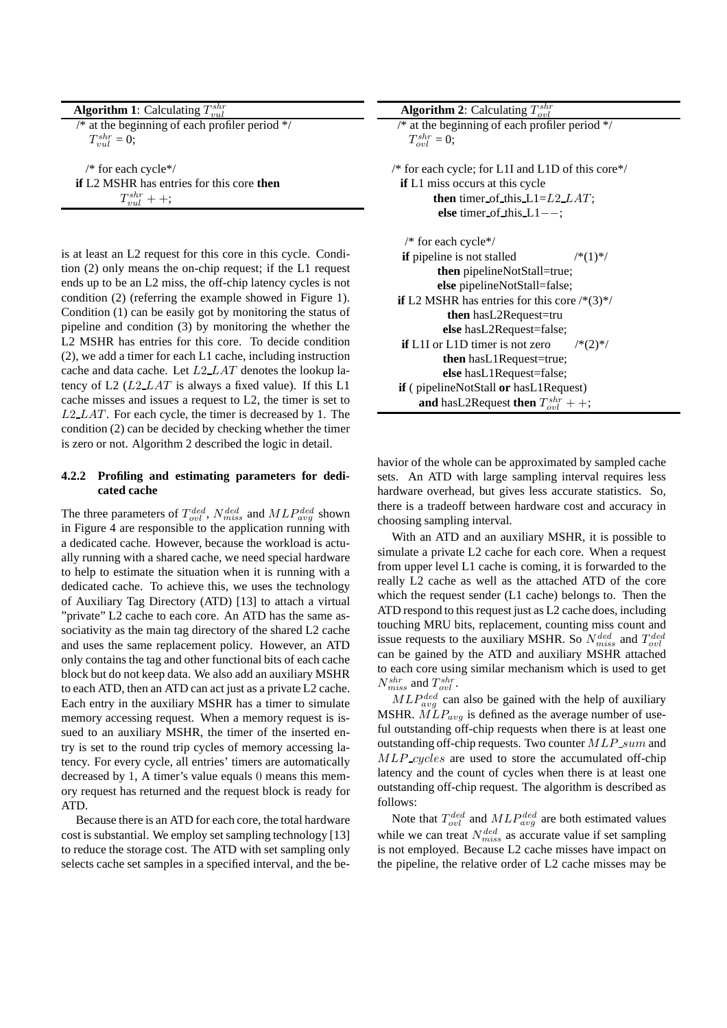| <b>Algorithm 1:</b> Calculating $T_{vnl}^{shr}$           |
|-----------------------------------------------------------|
| /* at the beginning of each profiler period $\frac{*}{s}$ |
| $T_{vul}^{shr} = 0;$                                      |
| /* for each cycle*/                                       |
| if L2 MSHR has entries for this core then                 |

 $T_{vul}^{shr}$  + +;

is at least an L2 request for this core in this cycle. Condition (2) only means the on-chip request; if the L1 request ends up to be an L2 miss, the off-chip latency cycles is not condition (2) (referring the example showed in Figure 1). Condition (1) can be easily got by monitoring the status of pipeline and condition (3) by monitoring the whether the L2 MSHR has entries for this core. To decide condition (2), we add a timer for each L1 cache, including instruction cache and data cache. Let L2 LAT denotes the lookup latency of L2  $(L2 \text{L}AT)$  is always a fixed value). If this L1 cache misses and issues a request to L2, the timer is set to  $L2$ <sub>LAT</sub>. For each cycle, the timer is decreased by 1. The condition (2) can be decided by checking whether the timer is zero or not. Algorithm 2 described the logic in detail.

### **4.2.2 Profiling and estimating parameters for dedicated cache**

The three parameters of  $T_{ovl}^{ded}$ ,  $N_{miss}^{ded}$  and  $MLP_{avg}^{ded}$  shown in Figure 4 are responsible to the application running with a dedicated cache. However, because the workload is actually running with a shared cache, we need special hardware to help to estimate the situation when it is running with a dedicated cache. To achieve this, we uses the technology of Auxiliary Tag Directory (ATD) [13] to attach a virtual "private" L2 cache to each core. An ATD has the same associativity as the main tag directory of the shared L2 cache and uses the same replacement policy. However, an ATD only contains the tag and other functional bits of each cache block but do not keep data. We also add an auxiliary MSHR to each ATD, then an ATD can act just as a private L2 cache. Each entry in the auxiliary MSHR has a timer to simulate memory accessing request. When a memory request is issued to an auxiliary MSHR, the timer of the inserted entry is set to the round trip cycles of memory accessing latency. For every cycle, all entries' timers are automatically decreased by 1, A timer's value equals 0 means this memory request has returned and the request block is ready for ATD.

Because there is an ATD for each core, the total hardware cost is substantial. We employ set sampling technology [13] to reduce the storage cost. The ATD with set sampling only selects cache set samples in a specified interval, and the be-

havior of the whole can be approximated by sampled cache sets. An ATD with large sampling interval requires less hardware overhead, but gives less accurate statistics. So, there is a tradeoff between hardware cost and accuracy in choosing sampling interval.

With an ATD and an auxiliary MSHR, it is possible to simulate a private L2 cache for each core. When a request from upper level L1 cache is coming, it is forwarded to the really L2 cache as well as the attached ATD of the core which the request sender (L1 cache) belongs to. Then the ATD respond to this request just as L2 cache does, including touching MRU bits, replacement, counting miss count and issue requests to the auxiliary MSHR. So  $N_{miss}^{ded}$  and  $T_{ovl}^{ded}$ can be gained by the ATD and auxiliary MSHR attached to each core using similar mechanism which is used to get  $N_{miss}^{shr}$  and  $T_{ovl}^{shr}$ .

 $MLP_{avg}^{ded}$  can also be gained with the help of auxiliary MSHR.  $MLP_{avg}$  is defined as the average number of useful outstanding off-chip requests when there is at least one outstanding off-chip requests. Two counter  $MLP$  sum and MLP cycles are used to store the accumulated off-chip latency and the count of cycles when there is at least one outstanding off-chip request. The algorithm is described as follows:

Note that  $T_{ovl}^{ded}$  and  $MLP_{avg}^{ded}$  are both estimated values while we can treat  $N_{miss}^{ded}$  as accurate value if set sampling is not employed. Because L2 cache misses have impact on the pipeline, the relative order of L2 cache misses may be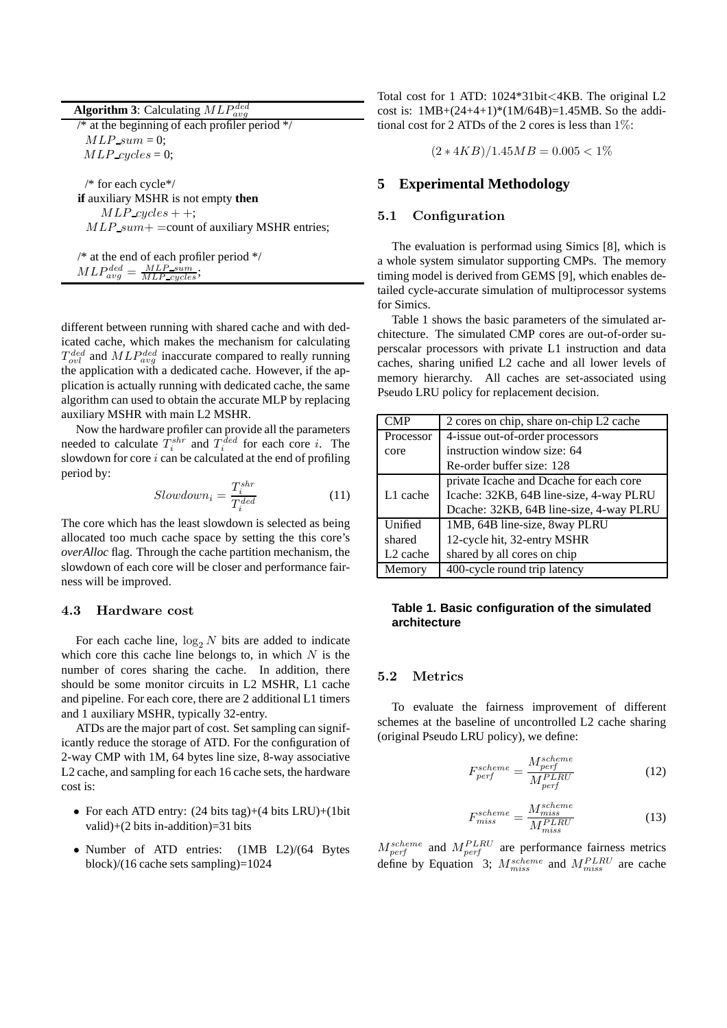| <b>Algorithm 3:</b> Calculating $MLP_{area}^{ded}$                                                                                              |
|-------------------------------------------------------------------------------------------------------------------------------------------------|
| $\frac{1}{4}$ at the beginning of each profiler period */                                                                                       |
| $MLP\_sum = 0$ ;                                                                                                                                |
| $MLP_{\text{cycles}} = 0;$                                                                                                                      |
| /* for each cycle*/<br><b>if</b> auxiliary MSHR is not empty <b>then</b><br>$MLP_{cycles}++;$<br>$MLP.sum + =$ count of auxiliary MSHR entries; |
|                                                                                                                                                 |

/\* at the end of each profiler period \*/  $MLP_{avg}^{ded} = \frac{MLP\_sum}{MLP\_cycles};$ 

different between running with shared cache and with dedicated cache, which makes the mechanism for calculating  $T_{ovl}^{ded}$  and  $MLP_{avg}^{ded}$  inaccurate compared to really running the application with a dedicated cache. However, if the application is actually running with dedicated cache, the same algorithm can used to obtain the accurate MLP by replacing auxiliary MSHR with main L2 MSHR.

Now the hardware profiler can provide all the parameters needed to calculate  $T_i^{shr}$  and  $T_i^{ded}$  for each core *i*. The slowdown for core  $i$  can be calculated at the end of profiling period by:

$$
Slowdown_i = \frac{T_i^{shr}}{T_i^{ded}} \tag{11}
$$

The core which has the least slowdown is selected as being allocated too much cache space by setting the this core's *overAlloc* flag. Through the cache partition mechanism, the slowdown of each core will be closer and performance fairness will be improved.

#### 4.3 Hardware cost

For each cache line,  $\log_2 N$  bits are added to indicate which core this cache line belongs to, in which  $N$  is the number of cores sharing the cache. In addition, there should be some monitor circuits in L2 MSHR, L1 cache and pipeline. For each core, there are 2 additional L1 timers and 1 auxiliary MSHR, typically 32-entry.

ATDs are the major part of cost. Set sampling can significantly reduce the storage of ATD. For the configuration of 2-way CMP with 1M, 64 bytes line size, 8-way associative L2 cache, and sampling for each 16 cache sets, the hardware cost is:

- For each ATD entry:  $(24 \text{ bits tag})+(4 \text{ bits LRU})+(1 \text{ bit})$ valid)+(2 bits in-addition)=31 bits
- Number of ATD entries: (1MB L2)/(64 Bytes block)/(16 cache sets sampling)=1024

Total cost for 1 ATD: 1024\*31bit<4KB. The original L2 cost is:  $1MB+(24+4+1)*(1M/64B)=1.45MB$ . So the additional cost for 2 ATDs of the 2 cores is less than 1%:

 $(2 * 4KB)/1.45MB = 0.005 < 1\%$ 

## **5 Experimental Methodology**

## 5.1 Configuration

The evaluation is performad using Simics [8], which is a whole system simulator supporting CMPs. The memory timing model is derived from GEMS [9], which enables detailed cycle-accurate simulation of multiprocessor systems for Simics.

Table 1 shows the basic parameters of the simulated architecture. The simulated CMP cores are out-of-order superscalar processors with private L1 instruction and data caches, sharing unified L2 cache and all lower levels of memory hierarchy. All caches are set-associated using Pseudo LRU policy for replacement decision.

| CMP                  | 2 cores on chip, share on-chip L2 cache |  |  |  |  |
|----------------------|-----------------------------------------|--|--|--|--|
| Processor            | 4-issue out-of-order processors         |  |  |  |  |
| core                 | instruction window size: 64             |  |  |  |  |
|                      | Re-order buffer size: 128               |  |  |  |  |
|                      | private Icache and Deache for each core |  |  |  |  |
| L1 cache             | Icache: 32KB, 64B line-size, 4-way PLRU |  |  |  |  |
|                      | Dcache: 32KB, 64B line-size, 4-way PLRU |  |  |  |  |
| Unified              | 1MB, 64B line-size, 8way PLRU           |  |  |  |  |
| shared               | 12-cycle hit, 32-entry MSHR             |  |  |  |  |
| L <sub>2</sub> cache | shared by all cores on chip             |  |  |  |  |
| Memory               | 400-cycle round trip latency            |  |  |  |  |

### **Table 1. Basic configuration of the simulated architecture**

### 5.2 Metrics

To evaluate the fairness improvement of different schemes at the baseline of uncontrolled L2 cache sharing (original Pseudo LRU policy), we define:

$$
F_{perf}^{scheme} = \frac{M_{perf}^{scheme}}{M_{perf}^{PLRU}} \tag{12}
$$

$$
F_{miss}^{scheme} = \frac{M_{miss}^{scheme}}{M_{miss}^{PLRU}} \tag{13}
$$

 $M_{perf}^{scheme}$  and  $M_{perf}^{PLRU}$  are performance fairness metrics define by Equation 3;  $M_{miss}^{scheme}$  and  $M_{miss}^{PLRU}$  are cache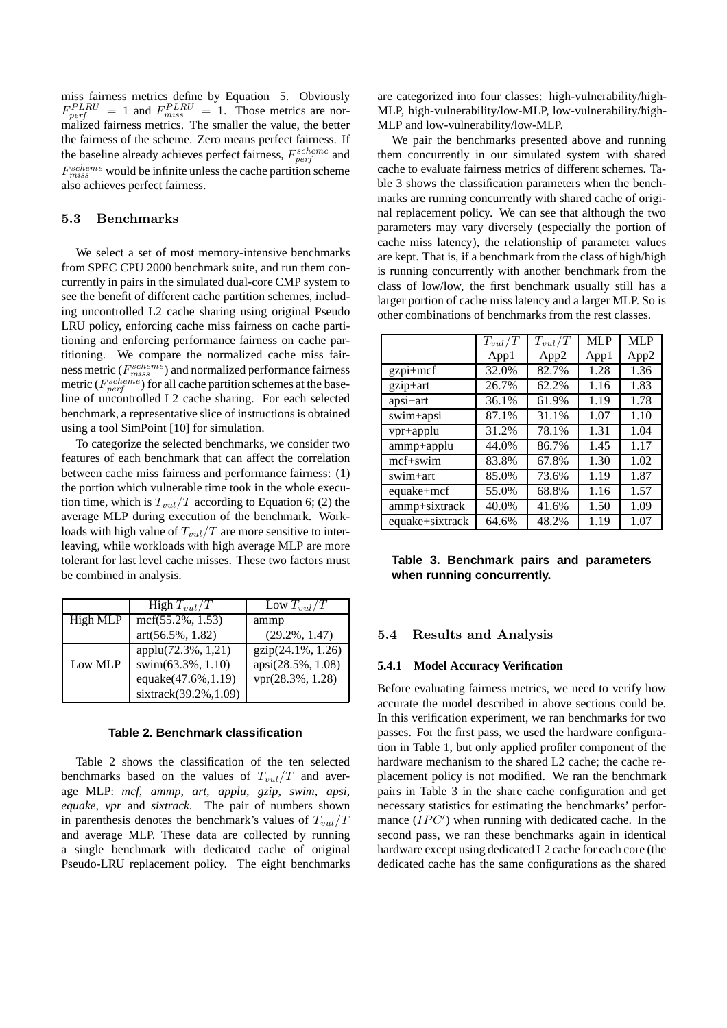miss fairness metrics define by Equation 5. Obviously  $F_{\text{perf}}^{PLRU} = 1$  and  $F_{\text{miss}}^{PLRU} = 1$ . Those metrics are normalized fairness metrics. The smaller the value, the better the fairness of the scheme. Zero means perfect fairness. If the baseline already achieves perfect fairness,  $F_{\text{perf}}^{scheme}$  and  $F_{miss}^{scheme}$  would be infinite unless the cache partition scheme also achieves perfect fairness.

### 5.3 Benchmarks

We select a set of most memory-intensive benchmarks from SPEC CPU 2000 benchmark suite, and run them concurrently in pairs in the simulated dual-core CMP system to see the benefit of different cache partition schemes, including uncontrolled L2 cache sharing using original Pseudo LRU policy, enforcing cache miss fairness on cache partitioning and enforcing performance fairness on cache partitioning. We compare the normalized cache miss fairness metric ( $F_{miss}^{scheme}$ ) and normalized performance fairness metric ( $F_{perf}^{scheme}$ ) for all cache partition schemes at the baseline of uncontrolled L2 cache sharing. For each selected benchmark, a representative slice of instructions is obtained using a tool SimPoint [10] for simulation.

To categorize the selected benchmarks, we consider two features of each benchmark that can affect the correlation between cache miss fairness and performance fairness: (1) the portion which vulnerable time took in the whole execution time, which is  $T_{vul}/T$  according to Equation 6; (2) the average MLP during execution of the benchmark. Workloads with high value of  $T_{vul}/T$  are more sensitive to interleaving, while workloads with high average MLP are more tolerant for last level cache misses. These two factors must be combined in analysis.

|          | High $T_{vul}/T$     | Low $T_{vul}/T$      |
|----------|----------------------|----------------------|
| High MLP | $mcf(55.2\%, 1.53)$  | ammp                 |
|          | $art(56.5\%, 1.82)$  | $(29.2\%, 1.47)$     |
|          | applu(72.3%, 1,21)   | $gzip(24.1\%, 1.26)$ |
| Low MLP  | swim(63.3%, 1.10)    | apsi(28.5%, 1.08)    |
|          | equake(47.6%, 1.19)  | $vpr(28.3\%, 1.28)$  |
|          | sixtrack(39.2%,1.09) |                      |

#### **Table 2. Benchmark classification**

Table 2 shows the classification of the ten selected benchmarks based on the values of  $T_{vul}/T$  and average MLP: *mcf, ammp, art, applu, gzip, swim, apsi, equake, vpr* and *sixtrack*. The pair of numbers shown in parenthesis denotes the benchmark's values of  $T_{vul}/T$ and average MLP. These data are collected by running a single benchmark with dedicated cache of original Pseudo-LRU replacement policy. The eight benchmarks are categorized into four classes: high-vulnerability/high-MLP, high-vulnerability/low-MLP, low-vulnerability/high-MLP and low-vulnerability/low-MLP.

We pair the benchmarks presented above and running them concurrently in our simulated system with shared cache to evaluate fairness metrics of different schemes. Table 3 shows the classification parameters when the benchmarks are running concurrently with shared cache of original replacement policy. We can see that although the two parameters may vary diversely (especially the portion of cache miss latency), the relationship of parameter values are kept. That is, if a benchmark from the class of high/high is running concurrently with another benchmark from the class of low/low, the first benchmark usually still has a larger portion of cache miss latency and a larger MLP. So is other combinations of benchmarks from the rest classes.

|                 | $T_{vul}/T$ | $T_{vul}/T$ | MLP  | <b>MLP</b>       |
|-----------------|-------------|-------------|------|------------------|
|                 | App1        | App2        | App1 | App <sub>2</sub> |
| $gzpi+mcf$      | 32.0%       | 82.7%       | 1.28 | 1.36             |
| gzip+art        | 26.7%       | 62.2%       | 1.16 | 1.83             |
| $apsi+art$      | 36.1%       | 61.9%       | 1.19 | 1.78             |
| swim+apsi       | 87.1%       | 31.1%       | 1.07 | 1.10             |
| vpr+applu       | 31.2%       | 78.1%       | 1.31 | 1.04             |
| ammp+applu      | 44.0%       | 86.7%       | 1.45 | 1.17             |
| $mcf+swim$      | 83.8%       | 67.8%       | 1.30 | 1.02             |
| swim+art        | 85.0%       | 73.6%       | 1.19 | 1.87             |
| equake+mcf      | 55.0%       | 68.8%       | 1.16 | 1.57             |
| ammp+sixtrack   | 40.0%       | 41.6%       | 1.50 | 1.09             |
| equake+sixtrack | 64.6%       | 48.2%       | 1.19 | 1.07             |

**Table 3. Benchmark pairs and parameters when running concurrently.**

# 5.4 Results and Analysis

### **5.4.1 Model Accuracy Verification**

Before evaluating fairness metrics, we need to verify how accurate the model described in above sections could be. In this verification experiment, we ran benchmarks for two passes. For the first pass, we used the hardware configuration in Table 1, but only applied profiler component of the hardware mechanism to the shared L2 cache; the cache replacement policy is not modified. We ran the benchmark pairs in Table 3 in the share cache configuration and get necessary statistics for estimating the benchmarks' performance  $(\text{IPC}')$  when running with dedicated cache. In the second pass, we ran these benchmarks again in identical hardware except using dedicated L2 cache for each core (the dedicated cache has the same configurations as the shared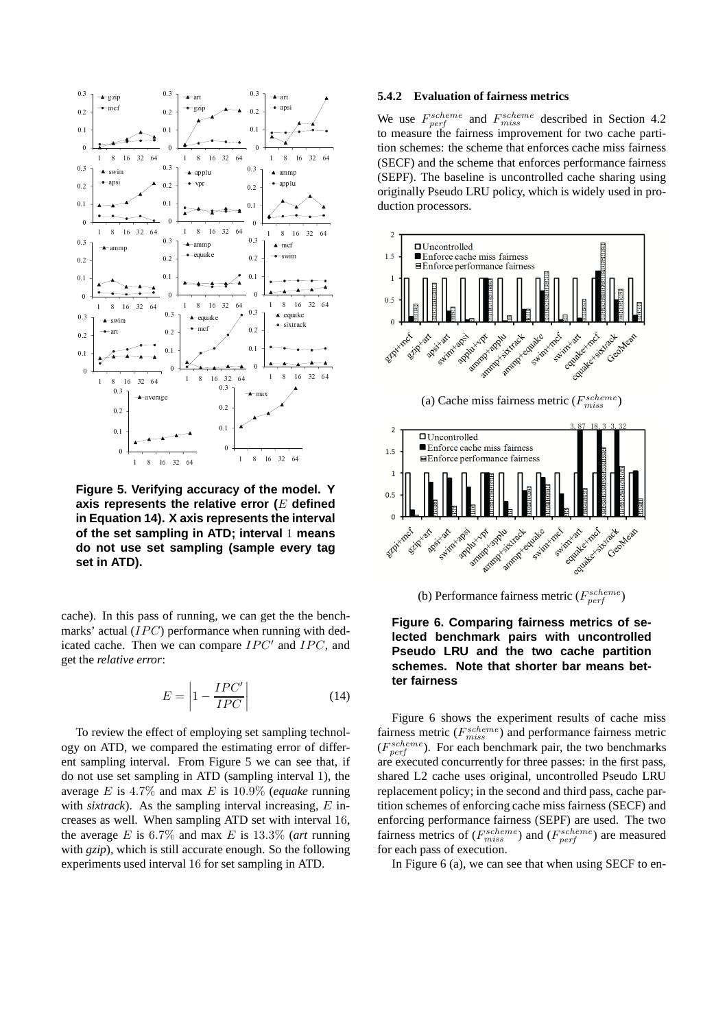

**Figure 5. Verifying accuracy of the model. Y axis represents the relative error (**E **defined in Equation 14). X axis represents the interval of the set sampling in ATD; interval** 1 **means do not use set sampling (sample every tag set in ATD).**

cache). In this pass of running, we can get the the benchmarks' actual (IPC) performance when running with dedicated cache. Then we can compare  $IPC'$  and  $IPC$ , and get the *relative error*:

$$
E = \left| 1 - \frac{IPC'}{IPC'} \right| \tag{14}
$$

To review the effect of employing set sampling technology on ATD, we compared the estimating error of different sampling interval. From Figure 5 we can see that, if do not use set sampling in ATD (sampling interval 1), the average E is 4.7% and max E is 10.9% (*equake* running with *sixtrack*). As the sampling interval increasing, E increases as well. When sampling ATD set with interval 16, the average  $E$  is 6.7% and max  $E$  is 13.3% (*art* running with *gzip*), which is still accurate enough. So the following experiments used interval 16 for set sampling in ATD.

#### **5.4.2 Evaluation of fairness metrics**

We use  $F_{\text{perf}}^{scheme}$  and  $F_{\text{miss}}^{scheme}$  described in Section 4.2 to measure the fairness improvement for two cache partition schemes: the scheme that enforces cache miss fairness (SECF) and the scheme that enforces performance fairness (SEPF). The baseline is uncontrolled cache sharing using originally Pseudo LRU policy, which is widely used in production processors.



(b) Performance fairness metric  $(F_{perf}^{scheme})$ 



Figure 6 shows the experiment results of cache miss fairness metric  $(F_{miss}^{scheme})$  and performance fairness metric  $(F_{\text{perf}}^{scheme}$ ). For each benchmark pair, the two benchmarks are executed concurrently for three passes: in the first pass, shared L2 cache uses original, uncontrolled Pseudo LRU replacement policy; in the second and third pass, cache partition schemes of enforcing cache miss fairness (SECF) and enforcing performance fairness (SEPF) are used. The two fairness metrics of  $(F_{miss}^{scheme})$  and  $(F_{perf}^{scheme})$  are measured for each pass of execution.

In Figure 6 (a), we can see that when using SECF to en-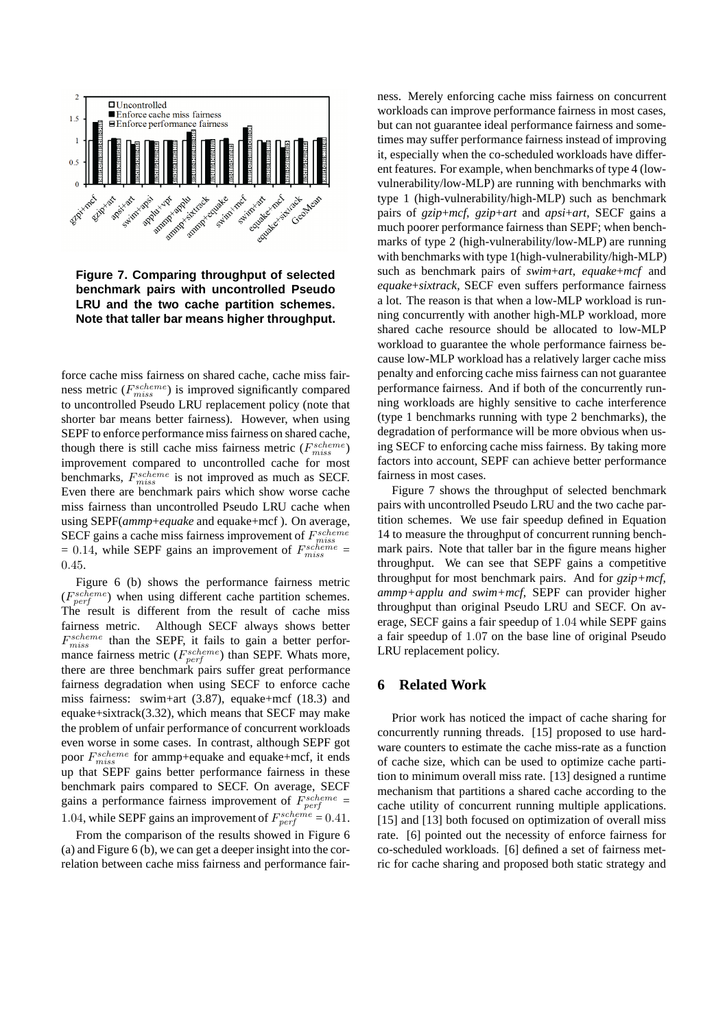

**Figure 7. Comparing throughput of selected benchmark pairs with uncontrolled Pseudo LRU and the two cache partition schemes. Note that taller bar means higher throughput.**

force cache miss fairness on shared cache, cache miss fairness metric  $(F_{miss}^{scheme})$  is improved significantly compared to uncontrolled Pseudo LRU replacement policy (note that shorter bar means better fairness). However, when using SEPF to enforce performance miss fairness on shared cache, though there is still cache miss fairness metric  $(F_{miss}^{scheme})$ improvement compared to uncontrolled cache for most benchmarks,  $F_{miss}^{scheme}$  is not improved as much as SECF. Even there are benchmark pairs which show worse cache miss fairness than uncontrolled Pseudo LRU cache when using SEPF(*ammp*+*equake* and equake+mcf ). On average, SECF gains a cache miss fairness improvement of  $F_{miss}^{scheme}$  $= 0.14$ , while SEPF gains an improvement of  $F_{miss}^{scheme}$ 0.45.

Figure 6 (b) shows the performance fairness metric  $(F_{perf}^{scheme})$  when using different cache partition schemes. The result is different from the result of cache miss fairness metric. Although SECF always shows better  $F_{miss}^{scheme}$  than the SEPF, it fails to gain a better performance fairness metric ( $F_{perf}^{scheme}$ ) than SEPF. Whats more, there are three benchmark pairs suffer great performance fairness degradation when using SECF to enforce cache miss fairness: swim+art (3.87), equake+mcf (18.3) and equake+sixtrack(3.32), which means that SECF may make the problem of unfair performance of concurrent workloads even worse in some cases. In contrast, although SEPF got poor  $F_{miss}^{scheme}$  for ammp+equake and equake+mcf, it ends up that SEPF gains better performance fairness in these benchmark pairs compared to SECF. On average, SECF gains a performance fairness improvement of  $F_{\text{perf}}^{scheme}$  = 1.04, while SEPF gains an improvement of  $F_{perf}^{scheme} = 0.41$ .

From the comparison of the results showed in Figure 6 (a) and Figure 6 (b), we can get a deeper insight into the correlation between cache miss fairness and performance fairness. Merely enforcing cache miss fairness on concurrent workloads can improve performance fairness in most cases, but can not guarantee ideal performance fairness and sometimes may suffer performance fairness instead of improving it, especially when the co-scheduled workloads have different features. For example, when benchmarks of type 4 (lowvulnerability/low-MLP) are running with benchmarks with type 1 (high-vulnerability/high-MLP) such as benchmark pairs of *gzip*+*mcf*, *gzip*+*art* and *apsi*+*art*, SECF gains a much poorer performance fairness than SEPF; when benchmarks of type 2 (high-vulnerability/low-MLP) are running with benchmarks with type 1(high-vulnerability/high-MLP) such as benchmark pairs of *swim*+*art*, *equake*+*mcf* and *equake*+*sixtrack*, SECF even suffers performance fairness a lot. The reason is that when a low-MLP workload is running concurrently with another high-MLP workload, more shared cache resource should be allocated to low-MLP workload to guarantee the whole performance fairness because low-MLP workload has a relatively larger cache miss penalty and enforcing cache miss fairness can not guarantee performance fairness. And if both of the concurrently running workloads are highly sensitive to cache interference (type 1 benchmarks running with type 2 benchmarks), the degradation of performance will be more obvious when using SECF to enforcing cache miss fairness. By taking more factors into account, SEPF can achieve better performance fairness in most cases.

Figure 7 shows the throughput of selected benchmark pairs with uncontrolled Pseudo LRU and the two cache partition schemes. We use fair speedup defined in Equation 14 to measure the throughput of concurrent running benchmark pairs. Note that taller bar in the figure means higher throughput. We can see that SEPF gains a competitive throughput for most benchmark pairs. And for *gzip+mcf, ammp+applu and swim+mcf*, SEPF can provider higher throughput than original Pseudo LRU and SECF. On average, SECF gains a fair speedup of 1.04 while SEPF gains a fair speedup of 1.07 on the base line of original Pseudo LRU replacement policy.

### **6 Related Work**

Prior work has noticed the impact of cache sharing for concurrently running threads. [15] proposed to use hardware counters to estimate the cache miss-rate as a function of cache size, which can be used to optimize cache partition to minimum overall miss rate. [13] designed a runtime mechanism that partitions a shared cache according to the cache utility of concurrent running multiple applications. [15] and [13] both focused on optimization of overall miss rate. [6] pointed out the necessity of enforce fairness for co-scheduled workloads. [6] defined a set of fairness metric for cache sharing and proposed both static strategy and